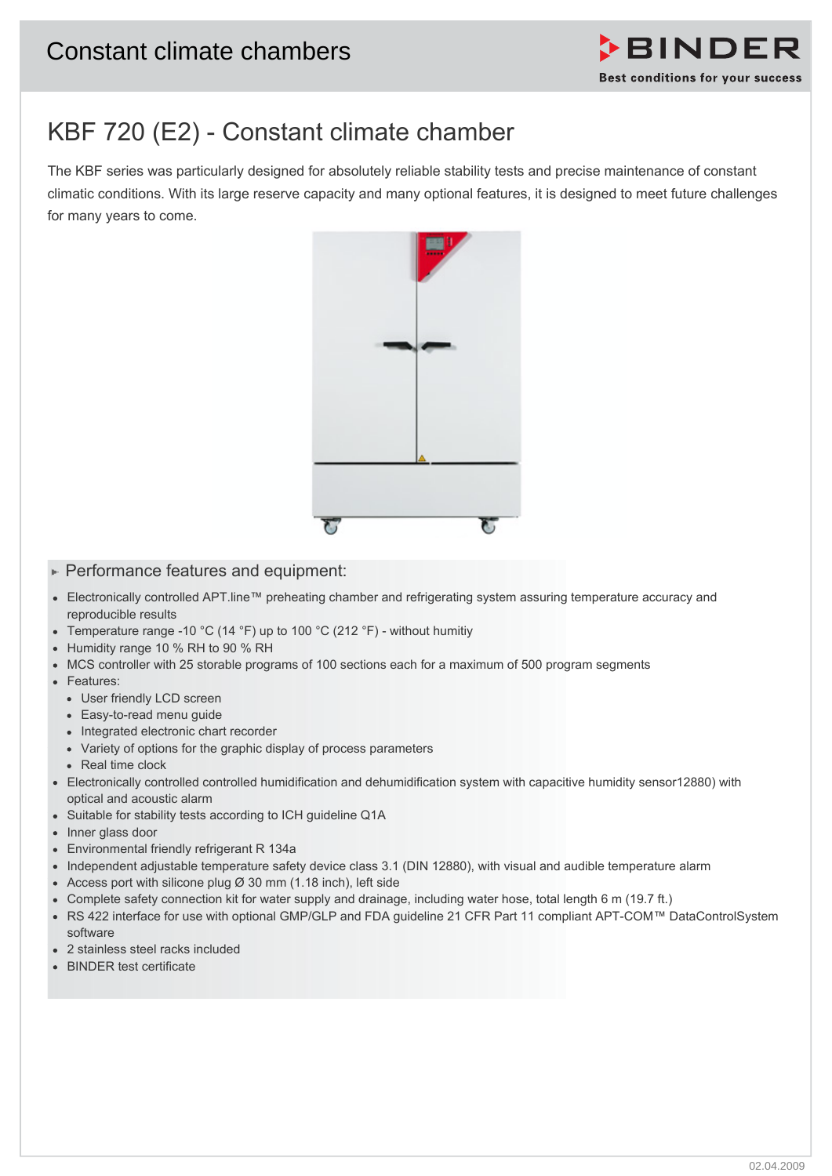

# KBF 720 (E2) - Constant climate chamber

The KBF series was particularly designed for absolutely reliable stability tests and precise maintenance of constant climatic conditions. With its large reserve capacity and many optional features, it is designed to meet future challenges for many years to come.



## $\blacktriangleright$  Performance features and equipment:

- Electronically controlled APT.line™ preheating chamber and refrigerating system assuring temperature accuracy and reproducible results
- Temperature range -10 °C (14 °F) up to 100 °C (212 °F) without humitiy
- Humidity range 10 % RH to 90 % RH
- MCS controller with 25 storable programs of 100 sections each for a maximum of 500 program segments
- Features:
	- User friendly LCD screen
	- Easy-to-read menu guide
	- Integrated electronic chart recorder
	- Variety of options for the graphic display of process parameters
	- Real time clock
- Electronically controlled controlled humidification and dehumidification system with capacitive humidity sensor12880) with optical and acoustic alarm
- Suitable for stability tests according to ICH guideline Q1A
- Inner glass door
- Environmental friendly refrigerant R 134a
- Independent adjustable temperature safety device class 3.1 (DIN 12880), with visual and audible temperature alarm
- Access port with silicone plug  $\varnothing$  30 mm (1.18 inch), left side
- Complete safety connection kit for water supply and drainage, including water hose, total length 6 m (19.7 ft.)
- RS 422 interface for use with optional GMP/GLP and FDA guideline 21 CFR Part 11 compliant APT-COM™ DataControlSystem software
- 2 stainless steel racks included
- BINDER test certificate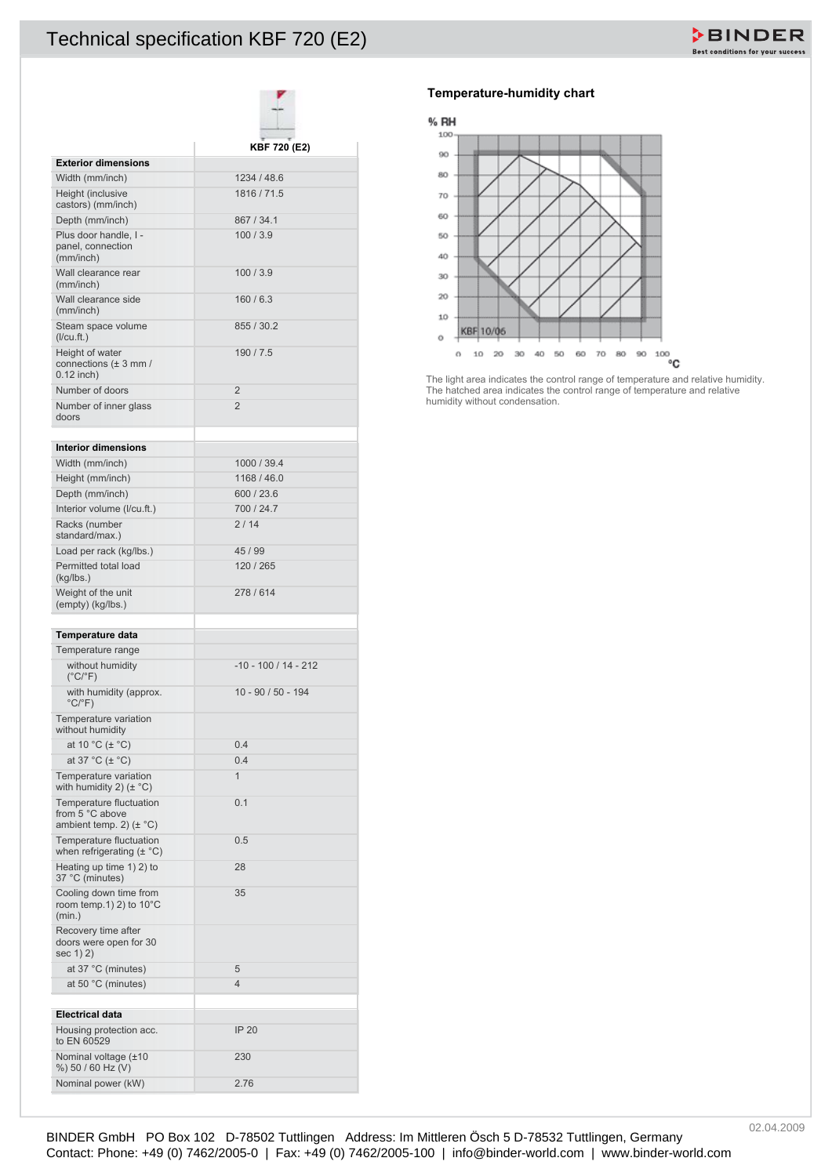## Technical specification KBF 720 (E2)

|                                                                           | KBF 720 (E2)           |
|---------------------------------------------------------------------------|------------------------|
| <b>Exterior dimensions</b>                                                |                        |
| Width (mm/inch)                                                           | 1234 / 48.6            |
| Height (inclusive<br>castors) (mm/inch)                                   | 1816 / 71.5            |
| Depth (mm/inch)                                                           | 867 / 34.1             |
| Plus door handle. I -<br>panel, connection<br>(mm/inch)                   | 100/3.9                |
| Wall clearance rear<br>(mm/inch)                                          | 100/3.9                |
| Wall clearance side<br>(mm/inch)                                          | 160/6.3                |
| Steam space volume<br>$($ l/cu.ft. $)$                                    | 855 / 30.2             |
| Height of water<br>connections $(\pm 3$ mm /<br>$0.12$ inch)              | 190/7.5                |
| Number of doors                                                           | $\overline{2}$         |
| Number of inner glass<br>doors                                            | $\overline{2}$         |
| <b>Interior dimensions</b>                                                |                        |
| Width (mm/inch)                                                           | 1000 / 39.4            |
| Height (mm/inch)                                                          | 1168 / 46.0            |
| Depth (mm/inch)                                                           | 600 / 23.6             |
| Interior volume (I/cu.ft.)                                                | 700 / 24.7             |
| Racks (number<br>standard/max.)                                           | 2/14                   |
| Load per rack (kg/lbs.)                                                   | 45 / 99                |
| Permitted total load<br>(kg/lbs.)                                         | 120 / 265              |
| Weight of the unit<br>(empty) (kg/lbs.)                                   | 278/614                |
| Temperature data                                                          |                        |
| Temperature range                                                         |                        |
| without humidity<br>$(^{\circ}C/^{\circ}F)$                               | $-10 - 100 / 14 - 212$ |
| with humidity (approx.<br>$^{\circ}$ C/ $^{\circ}$ F)                     | 10 - 90 / 50 - 194     |
| Temperature variation<br>without humidity                                 |                        |
| at 10 $^{\circ}$ C ( $\pm$ $^{\circ}$ C)                                  | 0.4                    |
| at 37 $^{\circ}$ C ( $\pm$ $^{\circ}$ C)                                  | 0.4                    |
| Temperature variation<br>with humidity 2) $(\pm$ °C)                      | 1                      |
| Temperature fluctuation<br>from 5 °C above<br>ambient temp. 2) $(\pm$ °C) | 0.1                    |
| Temperature fluctuation<br>when refrigerating $(\pm \degree C)$           | 0.5                    |
| Heating up time 1) 2) to<br>37 °C (minutes)                               | 28                     |
| Cooling down time from<br>room temp. 1) 2) to $10^{\circ}$ C<br>(min.)    | 35                     |
| Recovery time after<br>doors were open for 30<br>sec 1) 2)                |                        |
| at $37^{\circ}$ C (minutes)                                               | 5                      |
| at 50 $^{\circ}$ C (minutes)                                              | $\overline{4}$         |
|                                                                           |                        |
| <b>Electrical data</b>                                                    |                        |
| Housing protection acc.<br>to EN 60529                                    | <b>IP 20</b>           |
| Nominal voltage (±10<br>%) 50 / 60 Hz (V)                                 | 230                    |
| Nominal power (kW)                                                        | 2.76                   |

### **Temperature-humidity chart**

#### % RH



The light area indicates the control range of temperature and relative humidity. The hatched area indicates the control range of temperature and relative humidity without condensation.

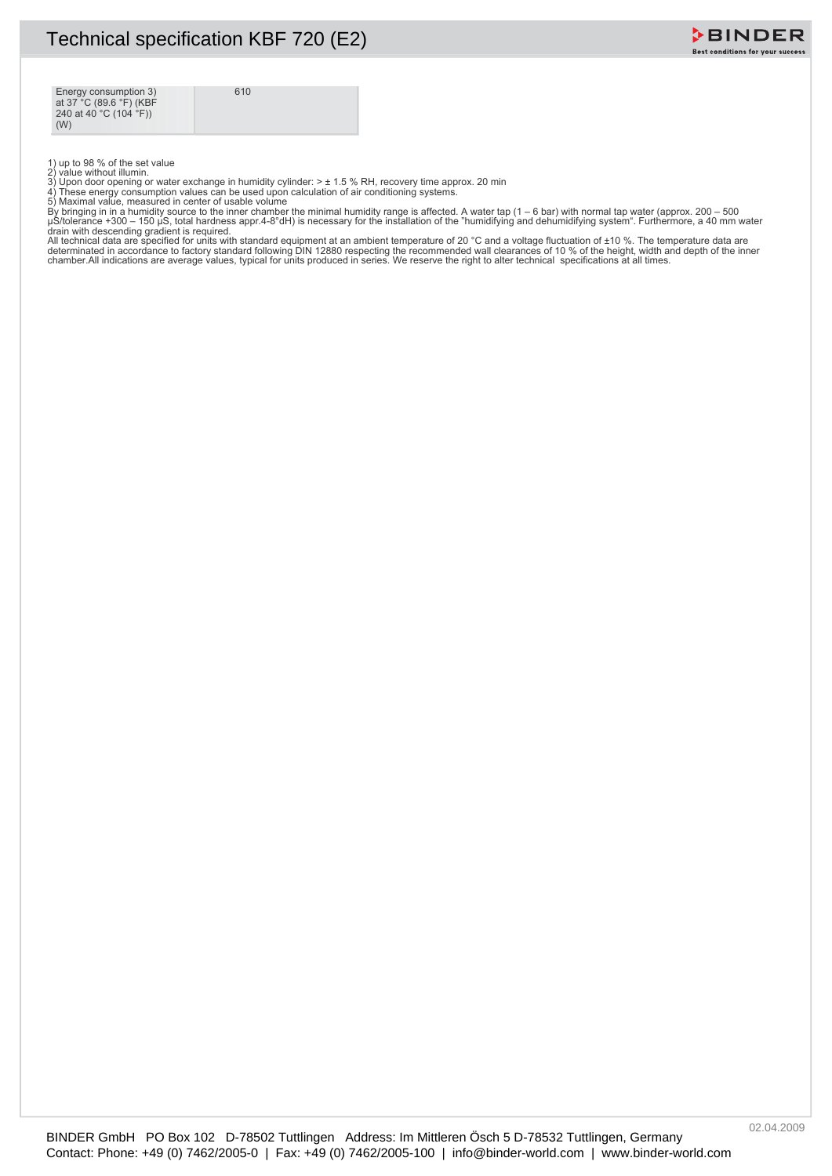

Energy consumption 3) at 37 °C (89.6 °F) (KBF 240 at 40 °C (104 °F)) (W)

610

1) up to 98 % of the set value<br>2) value without illumin.<br>3) Upon door opening or water exchange in humidity cylinder: > ± 1.5 % RH, recovery time approx. 20 min<br>3) Upon door opening or water exchange in humidity cylinder:

μS/tolerance +300 – 150 μS, total hardness appr.4-8°dH) is necessary for the installation of the "humidifying and dehumidifying system". Furthermore, a 40 mm water<br>All technical data are specified for units with standard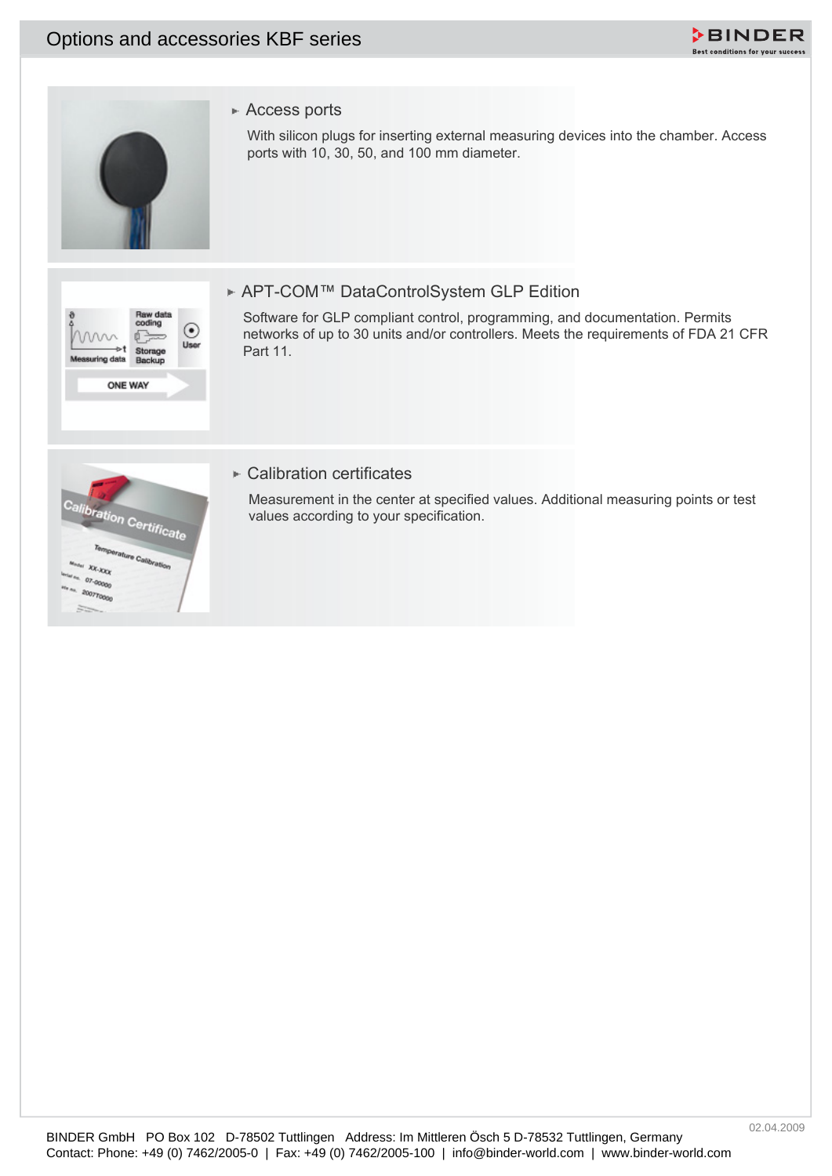## Options and accessories KBF series





## ► Access ports

With silicon plugs for inserting external measuring devices into the chamber. Access ports with 10, 30, 50, and 100 mm diameter.



## ► APT-COM™ DataControlSystem GLP Edition

Software for GLP compliant control, programming, and documentation. Permits networks of up to 30 units and/or controllers. Meets the requirements of FDA 21 CFR Part 11.



## **► Calibration certificates**

Measurement in the center at specified values. Additional measuring points or test values according to your specification.